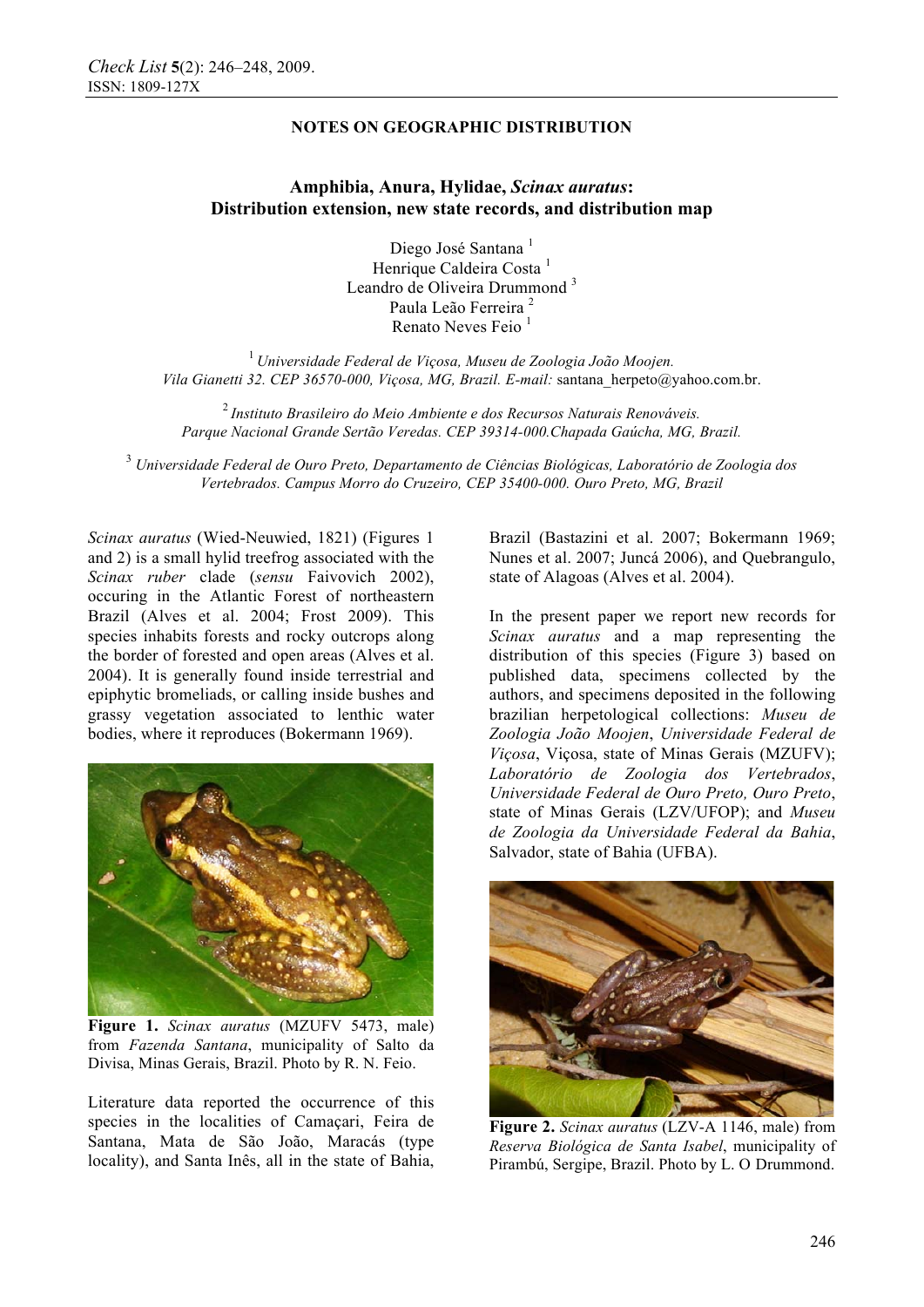# **NOTES ON GEOGRAPHIC DISTRIBUTION**

## **Amphibia, Anura, Hylidae,** *Scinax auratus***: Distribution extension, new state records, and distribution map**

Diego José Santana<sup>1</sup> Henrique Caldeira Costa<sup>1</sup> Leandro de Oliveira Drummond<sup>3</sup> Paula Leão Ferreira<sup>2</sup> Renato Neves Feio<sup>1</sup>

<sup>1</sup>*Universidade Federal de Viçosa, Museu de Zoologia João Moojen. Vila Gianetti 32. CEP 36570-000, Viçosa, MG, Brazil. E-mail:* santana\_herpeto@yahoo.com.br.

<sup>2</sup>*Instituto Brasileiro do Meio Ambiente e dos Recursos Naturais Renováveis. Parque Nacional Grande Sertão Veredas. CEP 39314-000.Chapada Gaúcha, MG, Brazil.*

3  *Universidade Federal de Ouro Preto, Departamento de Ciências Biológicas, Laboratório de Zoologia dos Vertebrados. Campus Morro do Cruzeiro, CEP 35400-000. Ouro Preto, MG, Brazil* 

*Scinax auratus* (Wied-Neuwied, 1821) (Figures 1 and 2) is a small hylid treefrog associated with the *Scinax ruber* clade (*sensu* Faivovich 2002), occuring in the Atlantic Forest of northeastern Brazil (Alves et al. 2004; Frost 2009). This species inhabits forests and rocky outcrops along the border of forested and open areas (Alves et al. 2004). It is generally found inside terrestrial and epiphytic bromeliads, or calling inside bushes and grassy vegetation associated to lenthic water bodies, where it reproduces (Bokermann 1969).



**Figure 1.** *Scinax auratus* (MZUFV 5473, male) from *Fazenda Santana*, municipality of Salto da Divisa, Minas Gerais, Brazil. Photo by R. N. Feio.

Literature data reported the occurrence of this species in the localities of Camaçari, Feira de Santana, Mata de São João, Maracás (type locality), and Santa Inês, all in the state of Bahia, Brazil (Bastazini et al. 2007; Bokermann 1969; Nunes et al. 2007; Juncá 2006), and Quebrangulo, state of Alagoas (Alves et al. 2004).

In the present paper we report new records for *Scinax auratus* and a map representing the distribution of this species (Figure 3) based on published data, specimens collected by the authors, and specimens deposited in the following brazilian herpetological collections: *Museu de Zoologia João Moojen*, *Universidade Federal de Viçosa*, Viçosa, state of Minas Gerais (MZUFV); *Laboratório de Zoologia dos Vertebrados*, *Universidade Federal de Ouro Preto, Ouro Preto*, state of Minas Gerais (LZV/UFOP); and *Museu de Zoologia da Universidade Federal da Bahia*, Salvador, state of Bahia (UFBA).



**Figure 2.** *Scinax auratus* (LZV-A 1146, male) from *Reserva Biológica de Santa Isabel*, municipality of Pirambú, Sergipe, Brazil. Photo by L. O. Drummond.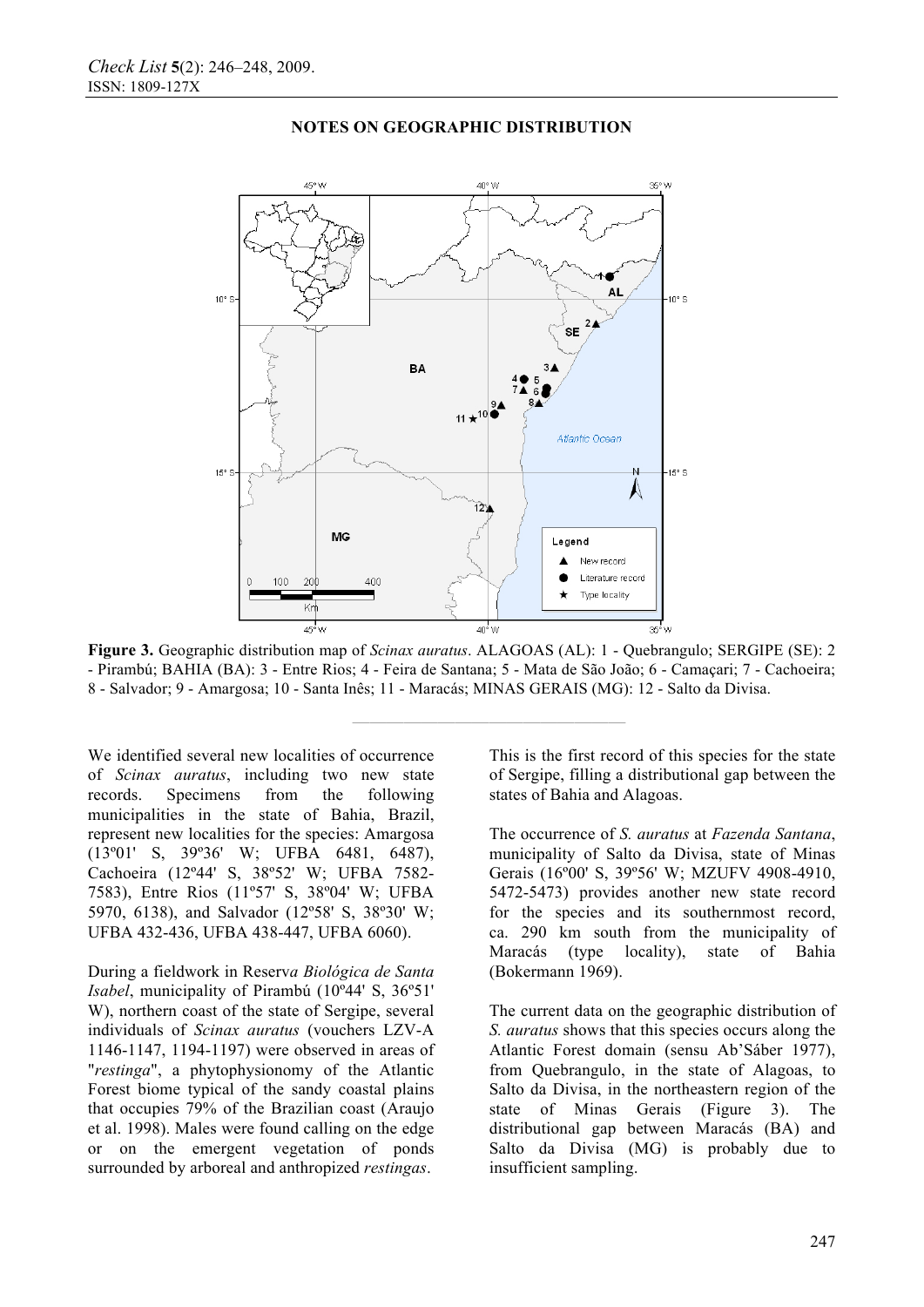

## **NOTES ON GEOGRAPHIC DISTRIBUTION**

**Figure 3.** Geographic distribution map of *Scinax auratus*. ALAGOAS (AL): 1 - Quebrangulo; SERGIPE (SE): 2 - Pirambú; BAHIA (BA): 3 - Entre Rios; 4 - Feira de Santana; 5 - Mata de São João; 6 - Camaçari; 7 - Cachoeira; 8 - Salvador; 9 - Amargosa; 10 - Santa Inês; 11 - Maracás; MINAS GERAIS (MG): 12 - Salto da Divisa.

**————————————————** 

We identified several new localities of occurrence of *Scinax auratus*, including two new state records. Specimens from the following municipalities in the state of Bahia, Brazil, represent new localities for the species: Amargosa (13º01' S, 39º36' W; UFBA 6481, 6487), Cachoeira (12º44' S, 38º52' W; UFBA 7582- 7583), Entre Rios (11º57' S, 38º04' W; UFBA 5970, 6138), and Salvador (12º58' S, 38º30' W; UFBA 432-436, UFBA 438-447, UFBA 6060).

During a fieldwork in Reserv*a Biológica de Santa Isabel*, municipality of Pirambú (10º44' S, 36º51' W), northern coast of the state of Sergipe, several individuals of *Scinax auratus* (vouchers LZV-A 1146-1147, 1194-1197) were observed in areas of "*restinga*", a phytophysionomy of the Atlantic Forest biome typical of the sandy coastal plains that occupies 79% of the Brazilian coast (Araujo et al. 1998). Males were found calling on the edge or on the emergent vegetation of ponds surrounded by arboreal and anthropized *restingas*.

This is the first record of this species for the state of Sergipe, filling a distributional gap between the states of Bahia and Alagoas.

The occurrence of *S. auratus* at *Fazenda Santana*, municipality of Salto da Divisa, state of Minas Gerais (16º00' S, 39º56' W; MZUFV 4908-4910, 5472-5473) provides another new state record for the species and its southernmost record, ca. 290 km south from the municipality of Maracás (type locality), state of Bahia (Bokermann 1969).

The current data on the geographic distribution of *S. auratus* shows that this species occurs along the Atlantic Forest domain (sensu Ab'Sáber 1977), from Quebrangulo, in the state of Alagoas, to Salto da Divisa, in the northeastern region of the state of Minas Gerais (Figure 3). The distributional gap between Maracás (BA) and Salto da Divisa (MG) is probably due to insufficient sampling.